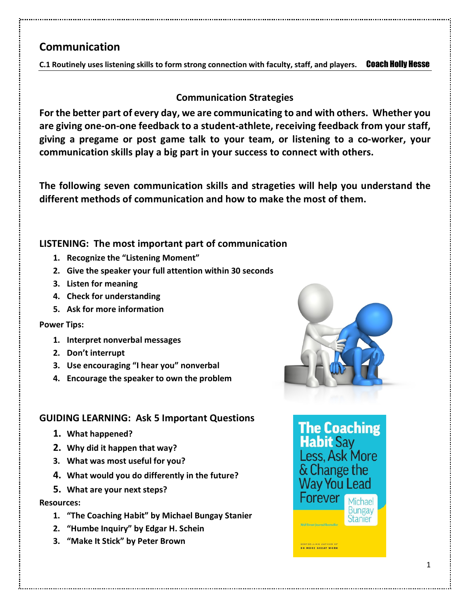## **Communication**

**C.1 Routinely uses listening skills to form strong connection with faculty, staff, and players.** Coach Holly Hesse

## **Communication Strategies**

**For the better part of every day, we are communicating to and with others. Whether you are giving one-on-one feedback to a student-athlete, receiving feedback from your staff, giving a pregame or post game talk to your team, or listening to a co-worker, your communication skills play a big part in your success to connect with others.**

**The following seven communication skills and strageties will help you understand the different methods of communication and how to make the most of them.**

## **LISTENING: The most important part of communication**

- **1. Recognize the "Listening Moment"**
- **2. Give the speaker your full attention within 30 seconds**
- **3. Listen for meaning**
- **4. Check for understanding**
- **5. Ask for more information**

## **Power Tips:**

- **1. Interpret nonverbal messages**
- **2. Don't interrupt**
- **3. Use encouraging "I hear you" nonverbal**
- **4. Encourage the speaker to own the problem**

## **GUIDING LEARNING: Ask 5 Important Questions**

- **1. What happened?**
- **2. Why did it happen that way?**
- **3. What was most useful for you?**
- **4. What would you do differently in the future?**
- **5. What are your next steps?**

## **Resources:**

- **1. "The Coaching Habit" by Michael Bungay Stanier**
- **2. "Humbe Inquiry" by Edgar H. Schein**
- **3. "Make It Stick" by Peter Brown**



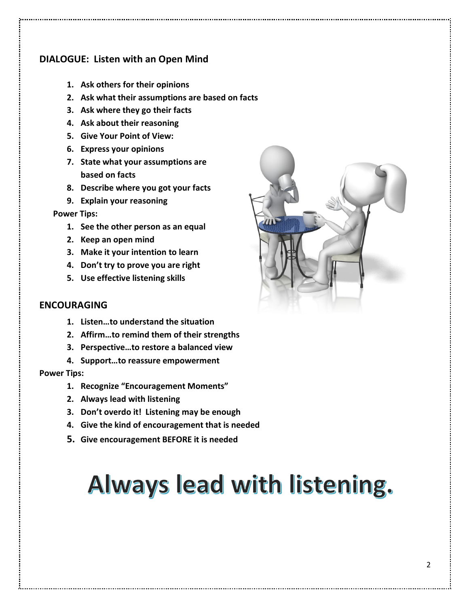## **DIALOGUE: Listen with an Open Mind**

- **1. Ask others for their opinions**
- **2. Ask what their assumptions are based on facts**
- **3. Ask where they go their facts**
- **4. Ask about their reasoning**
- **5. Give Your Point of View:**
- **6. Express your opinions**
- **7. State what your assumptions are based on facts**
- **8. Describe where you got your facts**
- **9. Explain your reasoning**

#### **Power Tips:**

- **1. See the other person as an equal**
- **2. Keep an open mind**
- **3. Make it your intention to learn**
- **4. Don't try to prove you are right**
- **5. Use effective listening skills**

#### **ENCOURAGING**

- **1. Listen…to understand the situation**
- **2. Affirm…to remind them of their strengths**
- **3. Perspective…to restore a balanced view**
- **4. Support…to reassure empowerment**

#### **Power Tips:**

- **1. Recognize "Encouragement Moments"**
- **2. Always lead with listening**
- **3. Don't overdo it! Listening may be enough**
- **4. Give the kind of encouragement that is needed**
- **5. Give encouragement BEFORE it is needed**

# Always lead with listening.

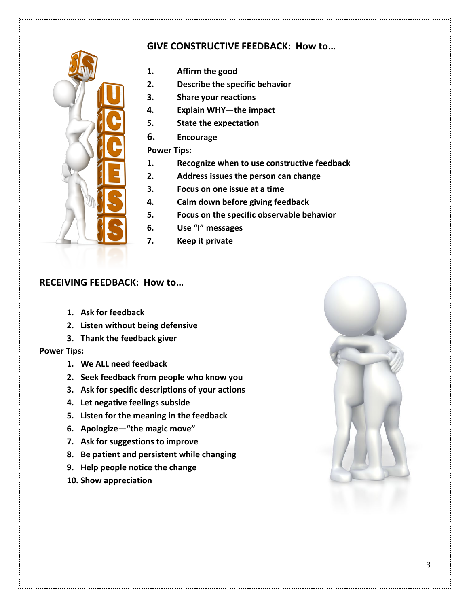## **GIVE CONSTRUCTIVE FEEDBACK: How to…**



- **1. Affirm the good**
- **2. Describe the specific behavior**
- **3. Share your reactions**
- **4. Explain WHY—the impact**
- **5. State the expectation**
- **6. Encourage**

#### **Power Tips:**

- **1. Recognize when to use constructive feedback**
- **2. Address issues the person can change**
- **3. Focus on one issue at a time**
- **4. Calm down before giving feedback**
- **5. Focus on the specific observable behavior**
- **6. Use "I" messages**
- **7. Keep it private**

#### **RECEIVING FEEDBACK: How to…**

- **1. Ask for feedback**
- **2. Listen without being defensive**
- **3. Thank the feedback giver**

#### **Power Tips:**

- **1. We ALL need feedback**
- **2. Seek feedback from people who know you**
- **3. Ask for specific descriptions of your actions**
- **4. Let negative feelings subside**
- **5. Listen for the meaning in the feedback**
- **6. Apologize—"the magic move"**
- **7. Ask for suggestions to improve**
- **8. Be patient and persistent while changing**
- **9. Help people notice the change**
- **10. Show appreciation**